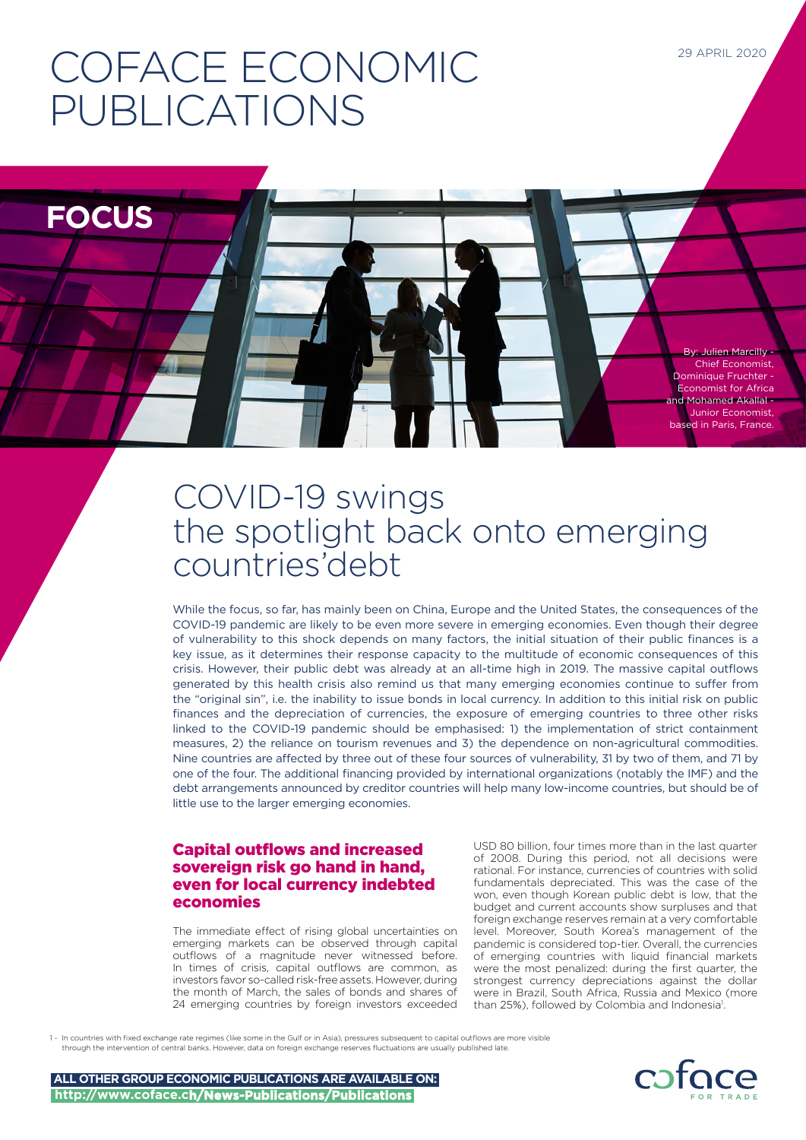# COFACE ECONOMIC PUBLICATIONS

**FOCUS**

By: Julien Marcilly - Chief Economist, Dominique Fruchter - Economist for Africa and Mohamed Akallal - Junior Economist, based in Paris, France.

29 APRIL 2020

# COVID-19 swings the spotlight back onto emerging countries'debt

While the focus, so far, has mainly been on China, Europe and the United States, the consequences of the COVID-19 pandemic are likely to be even more severe in emerging economies. Even though their degree of vulnerability to this shock depends on many factors, the initial situation of their public finances is a key issue, as it determines their response capacity to the multitude of economic consequences of this crisis. However, their public debt was already at an all-time high in 2019. The massive capital outflows generated by this health crisis also remind us that many emerging economies continue to suffer from the "original sin", i.e. the inability to issue bonds in local currency. In addition to this initial risk on public finances and the depreciation of currencies, the exposure of emerging countries to three other risks linked to the COVID-19 pandemic should be emphasised: 1) the implementation of strict containment measures, 2) the reliance on tourism revenues and 3) the dependence on non-agricultural commodities. Nine countries are affected by three out of these four sources of vulnerability, 31 by two of them, and 71 by one of the four. The additional financing provided by international organizations (notably the IMF) and the debt arrangements announced by creditor countries will help many low-income countries, but should be of little use to the larger emerging economies.

# Capital outflows and increased sovereign risk go hand in hand, even for local currency indebted economies

The immediate effect of rising global uncertainties on emerging markets can be observed through capital outflows of a magnitude never witnessed before. In times of crisis, capital outflows are common, as investors favor so-called risk-free assets. However, during the month of March, the sales of bonds and shares of 24 emerging countries by foreign investors exceeded

USD 80 billion, four times more than in the last quarter of 2008. During this period, not all decisions were rational. For instance, currencies of countries with solid fundamentals depreciated. This was the case of the won, even though Korean public debt is low, that the budget and current accounts show surpluses and that foreign exchange reserves remain at a very comfortable level. Moreover, South Korea's management of the pandemic is considered top-tier. Overall, the currencies of emerging countries with liquid financial markets were the most penalized: during the first quarter, the strongest currency depreciations against the dollar were in Brazil, South Africa, Russia and Mexico (more than 25%), followed by Colombia and Indonesia<sup>1</sup>.

1 - In countries with fixed exchange rate regimes (like some in the Gulf or in Asia), pressures subsequent to capital outflows are more visible through the intervention of central banks. However, data on foreign exchange reserves fluctuations are usually published late.

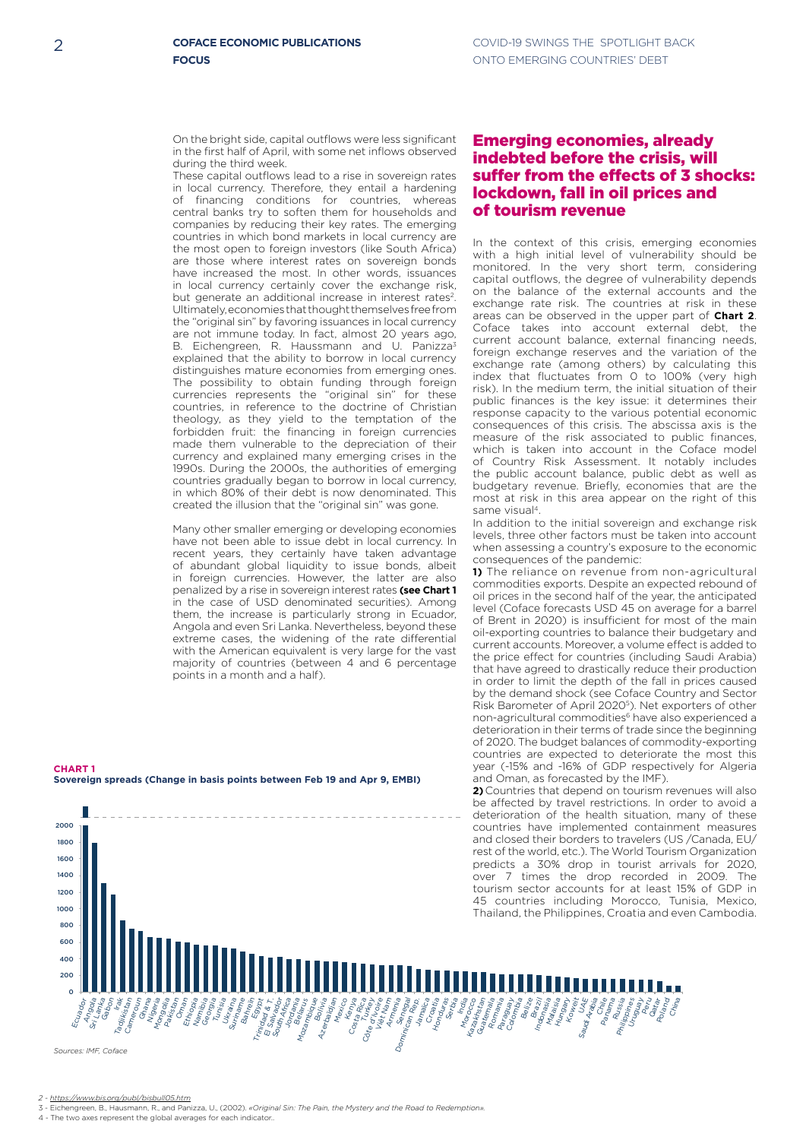On the bright side, capital outflows were less significant in the first half of April, with some net inflows observed during the third week.

in which 80% of their debt is now denominated. This These capital outflows lead to a rise in sovereign rates in local currency. Therefore, they entail a hardening of financing conditions for countries, whereas central banks try to soften them for households and companies by reducing their key rates. The emerging countries in which bond markets in local currency are the most open to foreign investors (like South Africa) are those where interest rates on sovereign bonds have increased the most. In other words, issuances in local currency certainly cover the exchange risk, but generate an additional increase in interest rates<sup>2</sup>. Ultimately, economies that thought themselves free from the "original sin" by favoring issuances in local currency are not immune today. In fact, almost 20 years ago, B. Eichengreen, R. Haussmann and U. Panizza<sup>3</sup> explained that the ability to borrow in local currency distinguishes mature economies from emerging ones. The possibility to obtain funding through foreign currencies represents the "original sin" for these countries, in reference to the doctrine of Christian theology, as they yield to the temptation of the forbidden fruit: the financing in foreign currencies made them vulnerable to the depreciation of their currency and explained many emerging crises in the 1990s. During the 2000s, the authorities of emerging countries gradually began to borrow in local currency, created the illusion that the "original sin" was gone.

Many other smaller emerging or developing economies of abundant global liquidity to issue bonds, albeit in foreign currencies. However, the latter are also recent years, they certainly have taken advantage penalized by a rise in sovereign interest rates **(see Chart 1** Angola and even Sri Lanka. Nevertheless, beyond these in the case of USD denominated securities). Among with the American equivalent is very large for the vast majority of countries (between 4 and 6 percentage have not been able to issue debt in local currency. In them, the increase is particularly strong in Ecuador, extreme cases, the widening of the rate differential points in a month and a half).

#### **CHART 1 Sovereign spreads (Change in basis points between Feb 19 and Apr 9, EMBI)**



## Emerging economies, already indebted before the crisis, will suffer from the effects of 3 shocks: lockdown, fall in oil prices and of tourism revenue

budgetary revenue. Briefly, economies that are the most at risk in this area appear on the right of this In the context of this crisis, emerging economies with a high initial level of vulnerability should be monitored. In the very short term, considering capital outflows, the degree of vulnerability depends on the balance of the external accounts and the exchange rate risk. The countries at risk in these areas can be observed in the upper part of **Chart 2**. Coface takes into account external debt, the current account balance, external financing needs, foreign exchange reserves and the variation of the exchange rate (among others) by calculating this index that fluctuates from 0 to 100% (very high risk). In the medium term, the initial situation of their public finances is the key issue: it determines their response capacity to the various potential economic consequences of this crisis. The abscissa axis is the measure of the risk associated to public finances, which is taken into account in the Coface model of Country Risk Assessment. It notably includes the public account balance, public debt as well as same visual4.

consequences of the pandemic: levels, three other factors must be taken into account In addition to the initial sovereign and exchange risk when assessing a country's exposure to the economic

non-agricultural commodities<sup>6</sup> have also experienced a by the demand shock (see Coface Country and Sector in order to limit the depth of the fall in prices caused the price effect for countries (including Saudi Arabia) oil-exporting countries to balance their budgetary and of Brent in 2020) is insufficient for most of the main oil prices in the second half of the year, the anticipated 40 commodities exports. Despite an expected rebound of deterioration in their terms of trade since the beginning **1)** The reliance on revenue from non-agricultural level (Coface forecasts USD 45 on average for a barrel current accounts. Moreover, a volume effect is added to that have agreed to drastically reduce their production Risk Barometer of April 20205). Net exporters of other of 2020. The budget balances of commodity-exporting countries are expected to deteriorate the most this year (-15% and -16% of GDP respectively for Algeria and Oman, as forecasted by the IMF).

**2)**Countries that depend on tourism revenues will also be affected by travel restrictions. In order to avoid a deterioration of the health situation, many of these countries have implemented containment measures and closed their borders to travelers (US /Canada, EU/ rest of the world, etc.). The World Tourism Organization predicts a 30% drop in tourist arrivals for 2020, over 7 times the drop recorded in 2009. The tourism sector accounts for at least 15% of GDP in 45 countries including Morocco, Tunisia, Mexico, Thailand, the Philippines, Croatia and even Cambodia.

*Sources: IMF, Coface*

3 - Eichengreen, B., Hausmann, R., and Panizza, U., (2002). *«Original Sin: The Pain, the Mystery and the Road to Redemption».*

4 - The two axes represent the global averages for each indicator..

*<sup>2 -</sup> https://www.bis.org/publ/bisbull05.htm*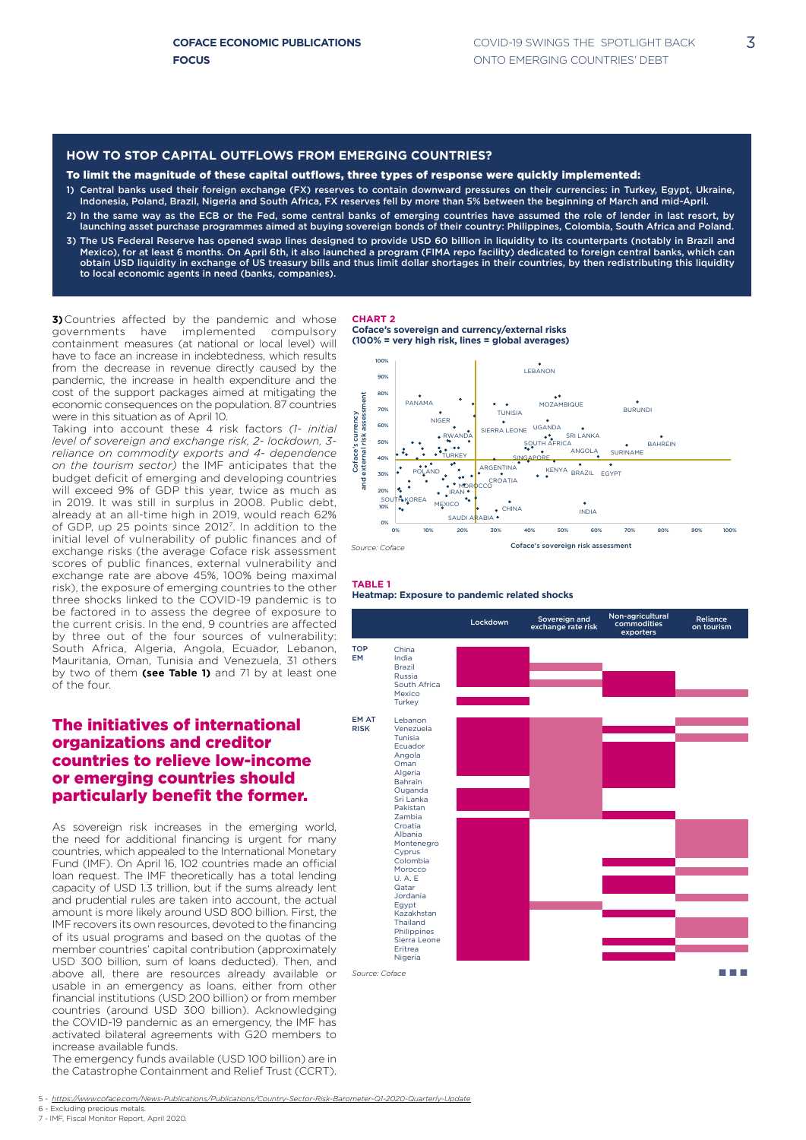3

#### To limit the magnitude of these capital outflows, three types of response were quickly implemented:

- 1) Central banks used their foreign exchange (FX) reserves to contain downward pressures on their currencies: in Turkey, Egypt, Ukraine, Indonesia, Poland, Brazil, Nigeria and South Africa, FX reserves fell by more than 5% between the beginning of March and mid-April.
- 2) In the same way as the ECB or the Fed, some central banks of emerging countries have assumed the role of lender in last resort, by launching asset purchase programmes aimed at buying sovereign bonds of their country: Philippines, Colombia, South Africa and Poland.
- 3) The US Federal Reserve has opened swap lines designed to provide USD 60 billion in liquidity to its counterparts (notably in Brazil and Mexico), for at least 6 months. On April 6th, it also launched a program (FIMA repo facility) dedicated to foreign central banks, which can obtain USD liquidity in exchange of US treasury bills and thus limit dollar shortages in their countries, by then redistributing this liquidity to local economic agents in need (banks, companies).

**3)**Countries affected by the pandemic and whose governments have implemented compulsory containment measures (at national or local level) will have to face an increase in indebtedness, which results from the decrease in revenue directly caused by the pandemic, the increase in health expenditure and the cost of the support packages aimed at mitigating the economic consequences on the population. 87 countries were in this situation as of April 10.

Taking into account these 4 risk factors *(1- initial level of sovereign and exchange risk, 2- lockdown, 3 reliance on commodity exports and 4- dependence on the tourism sector)* the IMF anticipates that the budget deficit of emerging and developing countries will exceed 9% of GDP this year, twice as much as in 2019. It was still in surplus in 2008. Public debt, already at an all-time high in 2019, would reach 62% of GDP, up 25 points since 20127. In addition to the initial level of vulnerability of public finances and of exchange risks (the average Coface risk assessment scores of public finances, external vulnerability and exchange rate are above 45%, 100% being maximal risk), the exposure of emerging countries to the other three shocks linked to the COVID-19 pandemic is to be factored in to assess the degree of exposure to the current crisis. In the end, 9 countries are affected by three out of the four sources of vulnerability: South Africa, Algeria, Angola, Ecuador, Lebanon, Mauritania, Oman, Tunisia and Venezuela, 31 others by two of them **(see Table 1)** and 71 by at least one of the four.

### The initiatives of international organizations and creditor countries to relieve low-income or emerging countries should particularly benefit the former.

As sovereign risk increases in the emerging world, the need for additional financing is urgent for many countries, which appealed to the International Monetary Fund (IMF). On April 16, 102 countries made an official loan request. The IMF theoretically has a total lending capacity of USD 1.3 trillion, but if the sums already lent and prudential rules are taken into account, the actual amount is more likely around USD 800 billion. First, the IMF recovers its own resources, devoted to the financing of its usual programs and based on the quotas of the member countries' capital contribution (approximately USD 300 billion, sum of loans deducted). Then, and above all, there are resources already available or usable in an emergency as loans, either from other financial institutions (USD 200 billion) or from member countries (around USD 300 billion). Acknowledging the COVID-19 pandemic as an emergency, the IMF has activated bilateral agreements with G20 members to increase available funds.

The emergency funds available (USD 100 billion) are in the Catastrophe Containment and Relief Trust (CCRT). **CHART 2**

**Coface's sovereign and currency/external risks (100% = very high risk, lines = global averages)**



#### **TABLE 1 Heatmap: Exposure to pandemic related shocks**



5 *- https://www.coface.com/News-Publications/Publications/Country-Sector-Risk-Barometer-Q1-2020-Quarterly-Update*

<sup>6 -</sup> Excluding precious metals. 7 - IMF, Fiscal Monitor Report, April 2020.